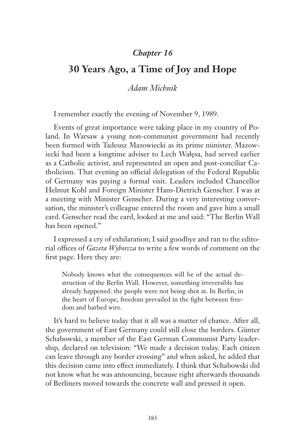## *Chapter 16*

## **30 Years Ago, a Time of Joy and Hope**

## *Adam Michnik*

I remember exactly the evening of November 9, 1989.

Events of great importance were taking place in my country of Poland. In Warsaw a young non-communist government had recently been formed with Tadeusz Mazowiecki as its prime minister. Mazowiecki had been a longtime adviser to Lech Wałęsa, had served earlier as a Catholic activist, and represented an open and post-conciliar Catholicism. That evening an official delegation of the Federal Republic of Germany was paying a formal visit. Leaders included Chancellor Helmut Kohl and Foreign Minister Hans-Dietrich Genscher. I was at a meeting with Minister Genscher. During a very interesting conversation, the minister's colleague entered the room and gave him a small card. Genscher read the card, looked at me and said: "The Berlin Wall has been opened."

I expressed a cry of exhilaration; I said goodbye and ran to the editorial offices of *Gazeta Wyborcza* to write a few words of comment on the first page. Here they are:

Nobody knows what the consequences will be of the actual destruction of the Berlin Wall. However, something irreversible has already happened: the people were not being shot at. In Berlin, in the heart of Europe, freedom prevailed in the fight between freedom and barbed wire.

It's hard to believe today that it all was a matter of chance. After all, the government of East Germany could still close the borders. Günter Schabowski, a member of the East German Communist Party leadership, declared on television: "We made a decision today. Each citizen can leave through any border crossing" and when asked, he added that this decision came into effect immediately. I think that Schabowski did not know what he was announcing, because right afterwards thousands of Berliners moved towards the concrete wall and pressed it open.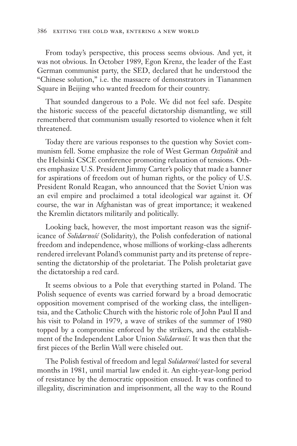From today's perspective, this process seems obvious. And yet, it was not obvious. In October 1989, Egon Krenz, the leader of the East German communist party, the SED, declared that he understood the "Chinese solution," i.e. the massacre of demonstrators in Tiananmen Square in Beijing who wanted freedom for their country.

That sounded dangerous to a Pole. We did not feel safe. Despite the historic success of the peaceful dictatorship dismantling, we still remembered that communism usually resorted to violence when it felt threatened.

Today there are various responses to the question why Soviet communism fell. Some emphasize the role of West German *Ostpolitik* and the Helsinki CSCE conference promoting relaxation of tensions. Others emphasize U.S. President Jimmy Carter's policy that made a banner for aspirations of freedom out of human rights, or the policy of U.S. President Ronald Reagan, who announced that the Soviet Union was an evil empire and proclaimed a total ideological war against it. Of course, the war in Afghanistan was of great importance; it weakened the Kremlin dictators militarily and politically.

Looking back, however, the most important reason was the significance of *Solidarność* (Solidarity), the Polish confederation of national freedom and independence, whose millions of working-class adherents rendered irrelevant Poland's communist party and its pretense of representing the dictatorship of the proletariat. The Polish proletariat gave the dictatorship a red card.

It seems obvious to a Pole that everything started in Poland. The Polish sequence of events was carried forward by a broad democratic opposition movement comprised of the working class, the intelligentsia, and the Catholic Church with the historic role of John Paul II and his visit to Poland in 1979, a wave of strikes of the summer of 1980 topped by a compromise enforced by the strikers, and the establishment of the Independent Labor Union *Solidarność*. It was then that the first pieces of the Berlin Wall were chiseled out.

The Polish festival of freedom and legal *Solidarność* lasted for several months in 1981, until martial law ended it. An eight-year-long period of resistance by the democratic opposition ensued. It was confined to illegality, discrimination and imprisonment, all the way to the Round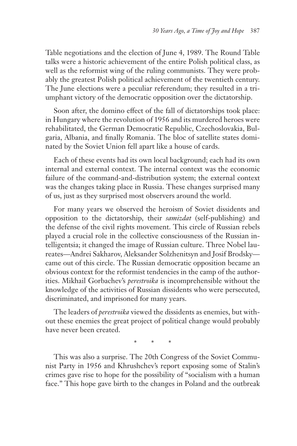Table negotiations and the election of June 4, 1989. The Round Table talks were a historic achievement of the entire Polish political class, as well as the reformist wing of the ruling communists. They were probably the greatest Polish political achievement of the twentieth century. The June elections were a peculiar referendum; they resulted in a triumphant victory of the democratic opposition over the dictatorship.

Soon after, the domino effect of the fall of dictatorships took place: in Hungary where the revolution of 1956 and its murdered heroes were rehabilitated, the German Democratic Republic, Czechoslovakia, Bulgaria, Albania, and finally Romania. The bloc of satellite states dominated by the Soviet Union fell apart like a house of cards.

Each of these events had its own local background; each had its own internal and external context. The internal context was the economic failure of the command-and-distribution system; the external context was the changes taking place in Russia. These changes surprised many of us, just as they surprised most observers around the world.

For many years we observed the heroism of Soviet dissidents and opposition to the dictatorship, their *samizdat* (self-publishing) and the defense of the civil rights movement. This circle of Russian rebels played a crucial role in the collective consciousness of the Russian intelligentsia; it changed the image of Russian culture. Three Nobel laureates—Andrei Sakharov, Aleksander Solzhenitsyn and Josif Brodsky came out of this circle. The Russian democratic opposition became an obvious context for the reformist tendencies in the camp of the authorities. Mikhail Gorbachev's *perestroika* is incomprehensible without the knowledge of the activities of Russian dissidents who were persecuted, discriminated, and imprisoned for many years.

The leaders of *perestroika* viewed the dissidents as enemies, but without these enemies the great project of political change would probably have never been created.

\* \* \*

This was also a surprise. The 20th Congress of the Soviet Communist Party in 1956 and Khrushchev's report exposing some of Stalin's crimes gave rise to hope for the possibility of "socialism with a human face." This hope gave birth to the changes in Poland and the outbreak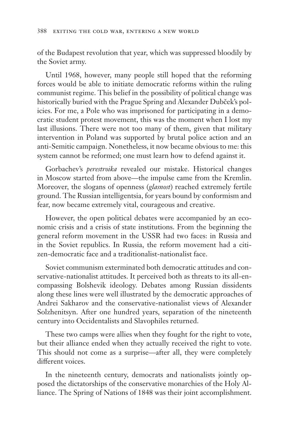of the Budapest revolution that year, which was suppressed bloodily by the Soviet army.

Until 1968, however, many people still hoped that the reforming forces would be able to initiate democratic reforms within the ruling communist regime. This belief in the possibility of political change was historically buried with the Prague Spring and Alexander Dubček's policies. For me, a Pole who was imprisoned for participating in a democratic student protest movement, this was the moment when I lost my last illusions. There were not too many of them, given that military intervention in Poland was supported by brutal police action and an anti-Semitic campaign. Nonetheless, it now became obvious to me: this system cannot be reformed; one must learn how to defend against it.

Gorbachev's *perestroika* revealed our mistake. Historical changes in Moscow started from above—the impulse came from the Kremlin. Moreover, the slogans of openness (*glasnost*) reached extremely fertile ground. The Russian intelligentsia, for years bound by conformism and fear, now became extremely vital, courageous and creative.

However, the open political debates were accompanied by an economic crisis and a crisis of state institutions. From the beginning the general reform movement in the USSR had two faces: in Russia and in the Soviet republics. In Russia, the reform movement had a citizen-democratic face and a traditionalist-nationalist face.

Soviet communism exterminated both democratic attitudes and conservative-nationalist attitudes. It perceived both as threats to its all-encompassing Bolshevik ideology. Debates among Russian dissidents along these lines were well illustrated by the democratic approaches of Andrei Sakharov and the conservative-nationalist views of Alexander Solzhenitsyn. After one hundred years, separation of the nineteenth century into Occidentalists and Slavophiles returned.

These two camps were allies when they fought for the right to vote, but their alliance ended when they actually received the right to vote. This should not come as a surprise—after all, they were completely different voices.

In the nineteenth century, democrats and nationalists jointly opposed the dictatorships of the conservative monarchies of the Holy Alliance. The Spring of Nations of 1848 was their joint accomplishment.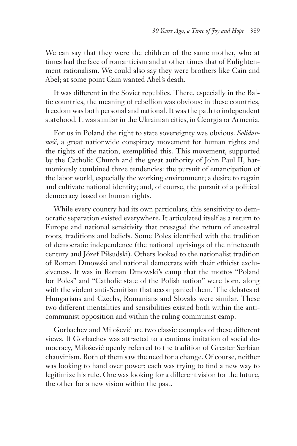We can say that they were the children of the same mother, who at times had the face of romanticism and at other times that of Enlightenment rationalism. We could also say they were brothers like Cain and Abel; at some point Cain wanted Abel's death.

It was different in the Soviet republics. There, especially in the Baltic countries, the meaning of rebellion was obvious: in these countries, freedom was both personal and national. It was the path to independent statehood. It was similar in the Ukrainian cities, in Georgia or Armenia.

For us in Poland the right to state sovereignty was obvious. *Solidarność*, a great nationwide conspiracy movement for human rights and the rights of the nation, exemplified this. This movement, supported by the Catholic Church and the great authority of John Paul II, harmoniously combined three tendencies: the pursuit of emancipation of the labor world, especially the working environment; a desire to regain and cultivate national identity; and, of course, the pursuit of a political democracy based on human rights.

While every country had its own particulars, this sensitivity to democratic separation existed everywhere. It articulated itself as a return to Europe and national sensitivity that presaged the return of ancestral roots, traditions and beliefs. Some Poles identified with the tradition of democratic independence (the national uprisings of the nineteenth century and Józef Piłsudski). Others looked to the nationalist tradition of Roman Dmowski and national democrats with their ethicist exclusiveness. It was in Roman Dmowski's camp that the mottos "Poland for Poles" and "Catholic state of the Polish nation" were born, along with the violent anti-Semitism that accompanied them. The debates of Hungarians and Czechs, Romanians and Slovaks were similar. These two different mentalities and sensibilities existed both within the anticommunist opposition and within the ruling communist camp.

Gorbachev and Milošević are two classic examples of these different views. If Gorbachev was attracted to a cautious imitation of social democracy, Milošević openly referred to the tradition of Greater Serbian chauvinism. Both of them saw the need for a change. Of course, neither was looking to hand over power; each was trying to find a new way to legitimize his rule. One was looking for a different vision for the future, the other for a new vision within the past.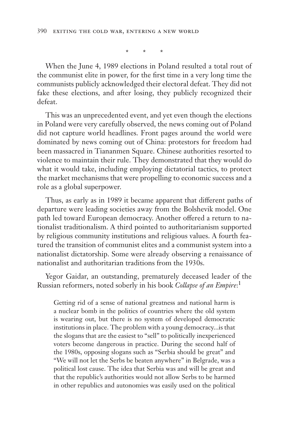\* \* \*

When the June 4, 1989 elections in Poland resulted a total rout of the communist elite in power, for the first time in a very long time the communists publicly acknowledged their electoral defeat. They did not fake these elections, and after losing, they publicly recognized their defeat.

This was an unprecedented event, and yet even though the elections in Poland were very carefully observed, the news coming out of Poland did not capture world headlines. Front pages around the world were dominated by news coming out of China: protestors for freedom had been massacred in Tiananmen Square. Chinese authorities resorted to violence to maintain their rule. They demonstrated that they would do what it would take, including employing dictatorial tactics, to protect the market mechanisms that were propelling to economic success and a role as a global superpower.

Thus, as early as in 1989 it became apparent that different paths of departure were leading societies away from the Bolshevik model. One path led toward European democracy. Another offered a return to nationalist traditionalism. A third pointed to authoritarianism supported by religious community institutions and religious values. A fourth featured the transition of communist elites and a communist system into a nationalist dictatorship. Some were already observing a renaissance of nationalist and authoritarian traditions from the 1930s.

Yegor Gaidar, an outstanding, prematurely deceased leader of the Russian reformers, noted soberly in his book *Collapse of an Empire*: 1

Getting rid of a sense of national greatness and national harm is a nuclear bomb in the politics of countries where the old system is wearing out, but there is no system of developed democratic institutions in place. The problem with a young democracy...is that the slogans that are the easiest to "sell" to politically inexperienced voters become dangerous in practice. During the second half of the 1980s, opposing slogans such as "Serbia should be great" and "We will not let the Serbs be beaten anywhere" in Belgrade, was a political lost cause. The idea that Serbia was and will be great and that the republic's authorities would not allow Serbs to be harmed in other republics and autonomies was easily used on the political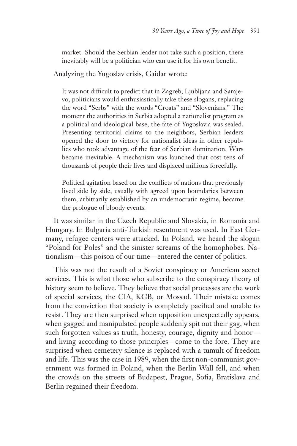market. Should the Serbian leader not take such a position, there inevitably will be a politician who can use it for his own benefit.

Analyzing the Yugoslav crisis, Gaidar wrote:

It was not difficult to predict that in Zagreb, Ljubljana and Sarajevo, politicians would enthusiastically take these slogans, replacing the word "Serbs" with the words "Croats" and "Slovenians." The moment the authorities in Serbia adopted a nationalist program as a political and ideological base, the fate of Yugoslavia was sealed. Presenting territorial claims to the neighbors, Serbian leaders opened the door to victory for nationalist ideas in other republics who took advantage of the fear of Serbian domination. Wars became inevitable. A mechanism was launched that cost tens of thousands of people their lives and displaced millions forcefully.

Political agitation based on the conflicts of nations that previously lived side by side, usually with agreed upon boundaries between them, arbitrarily established by an undemocratic regime, became the prologue of bloody events.

It was similar in the Czech Republic and Slovakia, in Romania and Hungary. In Bulgaria anti-Turkish resentment was used. In East Germany, refugee centers were attacked. In Poland, we heard the slogan "Poland for Poles" and the sinister screams of the homophobes. Nationalism—this poison of our time—entered the center of politics.

This was not the result of a Soviet conspiracy or American secret services. This is what those who subscribe to the conspiracy theory of history seem to believe. They believe that social processes are the work of special services, the CIA, KGB, or Mossad. Their mistake comes from the conviction that society is completely pacified and unable to resist. They are then surprised when opposition unexpectedly appears, when gagged and manipulated people suddenly spit out their gag, when such forgotten values as truth, honesty, courage, dignity and honorand living according to those principles—come to the fore. They are surprised when cemetery silence is replaced with a tumult of freedom and life. This was the case in 1989, when the first non-communist government was formed in Poland, when the Berlin Wall fell, and when the crowds on the streets of Budapest, Prague, Sofia, Bratislava and Berlin regained their freedom.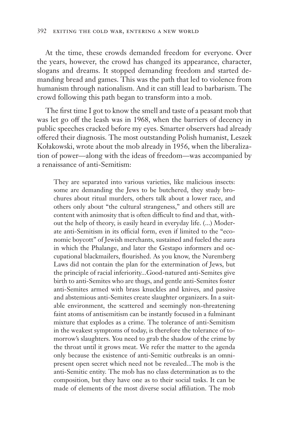At the time, these crowds demanded freedom for everyone. Over the years, however, the crowd has changed its appearance, character, slogans and dreams. It stopped demanding freedom and started demanding bread and games. This was the path that led to violence from humanism through nationalism. And it can still lead to barbarism. The crowd following this path began to transform into a mob.

The first time I got to know the smell and taste of a peasant mob that was let go off the leash was in 1968, when the barriers of decency in public speeches cracked before my eyes. Smarter observers had already offered their diagnosis. The most outstanding Polish humanist, Leszek Kołakowski, wrote about the mob already in 1956, when the liberalization of power—along with the ideas of freedom—was accompanied by a renaissance of anti-Semitism:

They are separated into various varieties, like malicious insects: some are demanding the Jews to be butchered, they study brochures about ritual murders, others talk about a lower race, and others only about "the cultural strangeness," and others still are content with animosity that is often difficult to find and that, without the help of theory, is easily heard in everyday life. (...) Moderate anti-Semitism in its official form, even if limited to the "economic boycott" of Jewish merchants, sustained and fueled the aura in which the Phalange, and later the Gestapo informers and occupational blackmailers, flourished. As you know, the Nuremberg Laws did not contain the plan for the extermination of Jews, but the principle of racial inferiority...Good-natured anti-Semites give birth to anti-Semites who are thugs, and gentle anti-Semites foster anti-Semites armed with brass knuckles and knives, and passive and abstemious anti-Semites create slaughter organizers. In a suitable environment, the scattered and seemingly non-threatening faint atoms of antisemitism can be instantly focused in a fulminant mixture that explodes as a crime. The tolerance of anti-Semitism in the weakest symptoms of today, is therefore the tolerance of tomorrow's slaughters. You need to grab the shadow of the crime by the throat until it grows meat. We refer the matter to the agenda only because the existence of anti-Semitic outbreaks is an omnipresent open secret which need not be revealed...The mob is the anti-Semitic entity. The mob has no class determination as to the composition, but they have one as to their social tasks. It can be made of elements of the most diverse social affiliation. The mob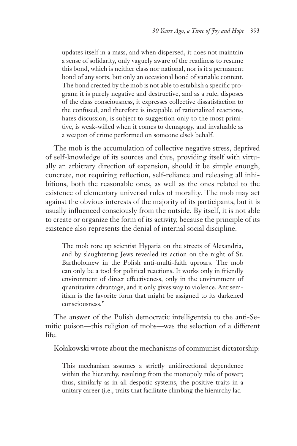updates itself in a mass, and when dispersed, it does not maintain a sense of solidarity, only vaguely aware of the readiness to resume this bond, which is neither class nor national, nor is it a permanent bond of any sorts, but only an occasional bond of variable content. The bond created by the mob is not able to establish a specific program; it is purely negative and destructive, and as a rule, disposes of the class consciousness, it expresses collective dissatisfaction to the confused, and therefore is incapable of rationalized reactions, hates discussion, is subject to suggestion only to the most primitive, is weak-willed when it comes to demagogy, and invaluable as a weapon of crime performed on someone else's behalf.

The mob is the accumulation of collective negative stress, deprived of self-knowledge of its sources and thus, providing itself with virtually an arbitrary direction of expansion, should it be simple enough, concrete, not requiring reflection, self-reliance and releasing all inhibitions, both the reasonable ones, as well as the ones related to the existence of elementary universal rules of morality. The mob may act against the obvious interests of the majority of its participants, but it is usually influenced consciously from the outside. By itself, it is not able to create or organize the form of its activity, because the principle of its existence also represents the denial of internal social discipline.

The mob tore up scientist Hypatia on the streets of Alexandria, and by slaughtering Jews revealed its action on the night of St. Bartholomew in the Polish anti-multi-faith uproars. The mob can only be a tool for political reactions. It works only in friendly environment of direct effectiveness, only in the environment of quantitative advantage, and it only gives way to violence. Antisemitism is the favorite form that might be assigned to its darkened consciousness."

The answer of the Polish democratic intelligentsia to the anti-Semitic poison—this religion of mobs—was the selection of a different life.

Kołakowski wrote about the mechanisms of communist dictatorship:

This mechanism assumes a strictly unidirectional dependence within the hierarchy, resulting from the monopoly rule of power; thus, similarly as in all despotic systems, the positive traits in a unitary career (i.e., traits that facilitate climbing the hierarchy lad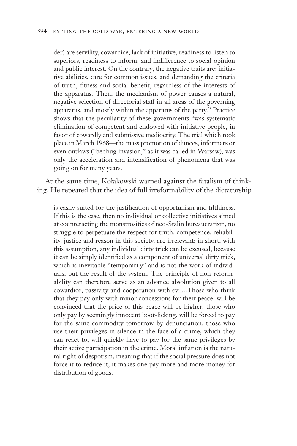der) are servility, cowardice, lack of initiative, readiness to listen to superiors, readiness to inform, and indifference to social opinion and public interest. On the contrary, the negative traits are: initiative abilities, care for common issues, and demanding the criteria of truth, fitness and social benefit, regardless of the interests of the apparatus. Then, the mechanism of power causes a natural, negative selection of directorial staff in all areas of the governing apparatus, and mostly within the apparatus of the party." Practice shows that the peculiarity of these governments "was systematic elimination of competent and endowed with initiative people, in favor of cowardly and submissive mediocrity. The trial which took place in March 1968—the mass promotion of dunces, informers or even outlaws ("bedbug invasion," as it was called in Warsaw), was only the acceleration and intensification of phenomena that was going on for many years.

At the same time, Kołakowski warned against the fatalism of thinking. He repeated that the idea of full irreformability of the dictatorship

is easily suited for the justification of opportunism and filthiness. If this is the case, then no individual or collective initiatives aimed at counteracting the monstrosities of neo-Stalin bureaucratism, no struggle to perpetuate the respect for truth, competence, reliability, justice and reason in this society, are irrelevant; in short, with this assumption, any individual dirty trick can be excused, because it can be simply identified as a component of universal dirty trick, which is inevitable "temporarily" and is not the work of individuals, but the result of the system. The principle of non-reformability can therefore serve as an advance absolution given to all cowardice, passivity and cooperation with evil...Those who think that they pay only with minor concessions for their peace, will be convinced that the price of this peace will be higher; those who only pay by seemingly innocent boot-licking, will be forced to pay for the same commodity tomorrow by denunciation; those who use their privileges in silence in the face of a crime, which they can react to, will quickly have to pay for the same privileges by their active participation in the crime. Moral inflation is the natural right of despotism, meaning that if the social pressure does not force it to reduce it, it makes one pay more and more money for distribution of goods.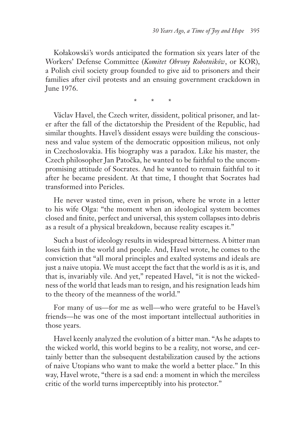Kołakowski's words anticipated the formation six years later of the Workers' Defense Committee (*Komitet Obrony Robotników*, or KOR), a Polish civil society group founded to give aid to prisoners and their families after civil protests and an ensuing government crackdown in June 1976.

\* \* \*

Václav Havel, the Czech writer, dissident, political prisoner, and later after the fall of the dictatorship the President of the Republic, had similar thoughts. Havel's dissident essays were building the consciousness and value system of the democratic opposition milieus, not only in Czechoslovakia. His biography was a paradox. Like his master, the Czech philosopher Jan Patočka, he wanted to be faithful to the uncompromising attitude of Socrates. And he wanted to remain faithful to it after he became president. At that time, I thought that Socrates had transformed into Pericles.

He never wasted time, even in prison, where he wrote in a letter to his wife Olga: "the moment when an ideological system becomes closed and finite, perfect and universal, this system collapses into debris as a result of a physical breakdown, because reality escapes it."

Such a bust of ideology results in widespread bitterness. A bitter man loses faith in the world and people. And, Havel wrote, he comes to the conviction that "all moral principles and exalted systems and ideals are just a naive utopia. We must accept the fact that the world is as it is, and that is, invariably vile. And yet," repeated Havel, "it is not the wickedness of the world that leads man to resign, and his resignation leads him to the theory of the meanness of the world."

For many of us—for me as well—who were grateful to be Havel's friends—he was one of the most important intellectual authorities in those years.

Havel keenly analyzed the evolution of a bitter man. "As he adapts to the wicked world, this world begins to be a reality, not worse, and certainly better than the subsequent destabilization caused by the actions of naive Utopians who want to make the world a better place." In this way, Havel wrote, "there is a sad end: a moment in which the merciless critic of the world turns imperceptibly into his protector."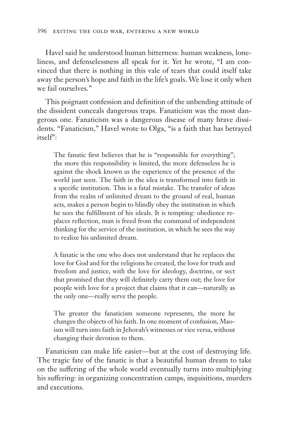Havel said he understood human bitterness: human weakness, loneliness, and defenselessness all speak for it. Yet he wrote, "I am convinced that there is nothing in this vale of tears that could itself take away the person's hope and faith in the life's goals. We lose it only when we fail ourselves."

This poignant confession and definition of the unbending attitude of the dissident conceals dangerous traps. Fanaticism was the most dangerous one. Fanaticism was a dangerous disease of many brave dissidents. "Fanaticism," Havel wrote to Olga, "is a faith that has betrayed itself":

The fanatic first believes that he is "responsible for everything"; the more this responsibility is limited, the more defenseless he is against the shock known as the experience of the presence of the world just seen. The faith in the idea is transformed into faith in a specific institution. This is a fatal mistake. The transfer of ideas from the realm of unlimited dream to the ground of real, human acts, makes a person begin to blindly obey the institution in which he sees the fulfillment of his ideals. It is tempting: obedience replaces reflection, man is freed from the command of independent thinking for the service of the institution, in which he sees the way to realize his unlimited dream.

A fanatic is the one who does not understand that he replaces the love for God and for the religions he created, the love for truth and freedom and justice, with the love for ideology, doctrine, or sect that promised that they will definitely carry them out; the love for people with love for a project that claims that it can—naturally as the only one—really serve the people.

The greater the fanaticism someone represents, the more he changes the objects of his faith. In one moment of confusion, Maoism will turn into faith in Jehovah's witnesses or vice versa, without changing their devotion to them.

Fanaticism can make life easier—but at the cost of destroying life. The tragic fate of the fanatic is that a beautiful human dream to take on the suffering of the whole world eventually turns into multiplying his suffering: in organizing concentration camps, inquisitions, murders and executions.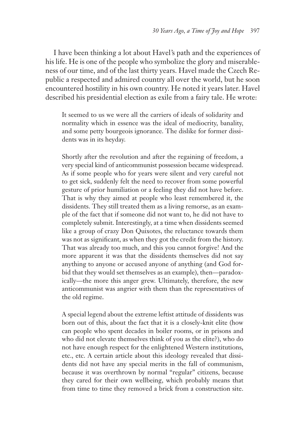I have been thinking a lot about Havel's path and the experiences of his life. He is one of the people who symbolize the glory and miserableness of our time, and of the last thirty years. Havel made the Czech Republic a respected and admired country all over the world, but he soon encountered hostility in his own country. He noted it years later. Havel described his presidential election as exile from a fairy tale. He wrote:

It seemed to us we were all the carriers of ideals of solidarity and normality which in essence was the ideal of mediocrity, banality, and some petty bourgeois ignorance. The dislike for former dissidents was in its heyday.

Shortly after the revolution and after the regaining of freedom, a very special kind of anticommunist possession became widespread. As if some people who for years were silent and very careful not to get sick, suddenly felt the need to recover from some powerful gesture of prior humiliation or a feeling they did not have before. That is why they aimed at people who least remembered it, the dissidents. They still treated them as a living remorse, as an example of the fact that if someone did not want to, he did not have to completely submit. Interestingly, at a time when dissidents seemed like a group of crazy Don Quixotes, the reluctance towards them was not as significant, as when they got the credit from the history. That was already too much, and this you cannot forgive! And the more apparent it was that the dissidents themselves did not say anything to anyone or accused anyone of anything (and God forbid that they would set themselves as an example), then—paradoxically—the more this anger grew. Ultimately, therefore, the new anticommunist was angrier with them than the representatives of the old regime.

A special legend about the extreme leftist attitude of dissidents was born out of this, about the fact that it is a closely-knit elite (how can people who spent decades in boiler rooms, or in prisons and who did not elevate themselves think of you as the elite?), who do not have enough respect for the enlightened Western institutions, etc., etc. A certain article about this ideology revealed that dissidents did not have any special merits in the fall of communism, because it was overthrown by normal "regular" citizens, because they cared for their own wellbeing, which probably means that from time to time they removed a brick from a construction site.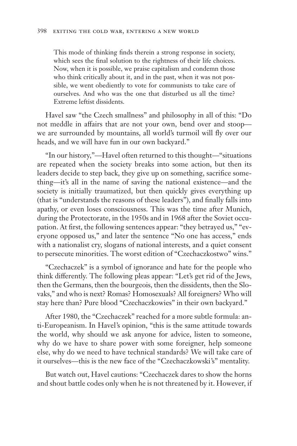This mode of thinking finds therein a strong response in society, which sees the final solution to the rightness of their life choices. Now, when it is possible, we praise capitalism and condemn those who think critically about it, and in the past, when it was not possible, we went obediently to vote for communists to take care of ourselves. And who was the one that disturbed us all the time? Extreme leftist dissidents.

Havel saw "the Czech smallness" and philosophy in all of this: "Do not meddle in affairs that are not your own, bend over and stoop we are surrounded by mountains, all world's turmoil will fly over our heads, and we will have fun in our own backyard."

"In our history,"—Havel often returned to this thought—"situations are repeated when the society breaks into some action, but then its leaders decide to step back, they give up on something, sacrifice something—it's all in the name of saving the national existence—and the society is initially traumatized, but then quickly gives everything up (that is "understands the reasons of these leaders"), and finally falls into apathy, or even loses consciousness. This was the time after Munich, during the Protectorate, in the 1950s and in 1968 after the Soviet occupation. At first, the following sentences appear: "they betrayed us," "everyone opposed us," and later the sentence "No one has access," ends with a nationalist cry, slogans of national interests, and a quiet consent to persecute minorities. The worst edition of "Czechaczkostwo" wins."

"Czechaczek" is a symbol of ignorance and hate for the people who think differently. The following pleas appear: "Let's get rid of the Jews, then the Germans, then the bourgeois, then the dissidents, then the Slovaks," and who is next? Romas? Homosexuals? All foreigners? Who will stay here than? Pure blood "Czechaczkowies" in their own backyard."

After 1980, the "Czechaczek" reached for a more subtle formula: anti-Europeanism. In Havel's opinion, "this is the same attitude towards the world, why should we ask anyone for advice, listen to someone, why do we have to share power with some foreigner, help someone else, why do we need to have technical standards? We will take care of it ourselves—this is the new face of the "Czechaczkowski's" mentality.

But watch out, Havel cautions: "Czechaczek dares to show the horns and shout battle codes only when he is not threatened by it. However, if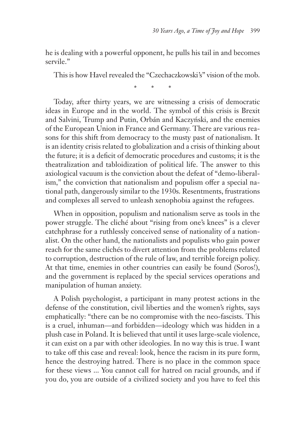he is dealing with a powerful opponent, he pulls his tail in and becomes servile."

This is how Havel revealed the "Czechaczkowski's" vision of the mob.

\* \* \*

Today, after thirty years, we are witnessing a crisis of democratic ideas in Europe and in the world. The symbol of this crisis is Brexit and Salvini, Trump and Putin, Orbán and Kaczyński, and the enemies of the European Union in France and Germany. There are various reasons for this shift from democracy to the musty past of nationalism. It is an identity crisis related to globalization and a crisis of thinking about the future; it is a deficit of democratic procedures and customs; it is the theatralization and tabloidization of political life. The answer to this axiological vacuum is the conviction about the defeat of "demo-liberalism," the conviction that nationalism and populism offer a special national path, dangerously similar to the 1930s. Resentments, frustrations and complexes all served to unleash xenophobia against the refugees.

When in opposition, populism and nationalism serve as tools in the power struggle. The cliché about "rising from one's knees" is a clever catchphrase for a ruthlessly conceived sense of nationality of a nationalist. On the other hand, the nationalists and populists who gain power reach for the same clichés to divert attention from the problems related to corruption, destruction of the rule of law, and terrible foreign policy. At that time, enemies in other countries can easily be found (Soros!), and the government is replaced by the special services operations and manipulation of human anxiety.

A Polish psychologist, a participant in many protest actions in the defense of the constitution, civil liberties and the women's rights, says emphatically: "there can be no compromise with the neo-fascists. This is a cruel, inhuman—and forbidden—ideology which was hidden in a plush case in Poland. It is believed that until it uses large-scale violence, it can exist on a par with other ideologies. In no way this is true. I want to take off this case and reveal: look, hence the racism in its pure form, hence the destroying hatred. There is no place in the common space for these views ... You cannot call for hatred on racial grounds, and if you do, you are outside of a civilized society and you have to feel this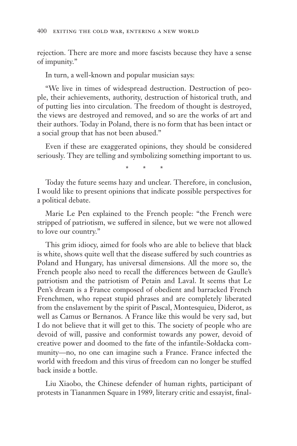rejection. There are more and more fascists because they have a sense of impunity."

In turn, a well-known and popular musician says:

"We live in times of widespread destruction. Destruction of people, their achievements, authority, destruction of historical truth, and of putting lies into circulation. The freedom of thought is destroyed, the views are destroyed and removed, and so are the works of art and their authors. Today in Poland, there is no form that has been intact or a social group that has not been abused."

Even if these are exaggerated opinions, they should be considered seriously. They are telling and symbolizing something important to us.

\* \* \*

Today the future seems hazy and unclear. Therefore, in conclusion, I would like to present opinions that indicate possible perspectives for a political debate.

Marie Le Pen explained to the French people: "the French were stripped of patriotism, we suffered in silence, but we were not allowed to love our country."

This grim idiocy, aimed for fools who are able to believe that black is white, shows quite well that the disease suffered by such countries as Poland and Hungary, has universal dimensions. All the more so, the French people also need to recall the differences between de Gaulle's patriotism and the patriotism of Petain and Laval. It seems that Le Pen's dream is a France composed of obedient and barracked French Frenchmen, who repeat stupid phrases and are completely liberated from the enslavement by the spirit of Pascal, Montesquieu, Diderot, as well as Camus or Bernanos. A France like this would be very sad, but I do not believe that it will get to this. The society of people who are devoid of will, passive and conformist towards any power, devoid of creative power and doomed to the fate of the infantile-Sołdacka community—no, no one can imagine such a France. France infected the world with freedom and this virus of freedom can no longer be stuffed back inside a bottle.

Liu Xiaobo, the Chinese defender of human rights, participant of protests in Tiananmen Square in 1989, literary critic and essayist, final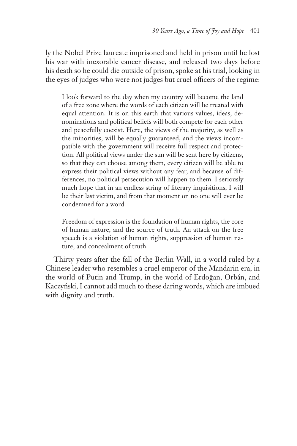ly the Nobel Prize laureate imprisoned and held in prison until he lost his war with inexorable cancer disease, and released two days before his death so he could die outside of prison, spoke at his trial, looking in the eyes of judges who were not judges but cruel officers of the regime:

I look forward to the day when my country will become the land of a free zone where the words of each citizen will be treated with equal attention. It is on this earth that various values, ideas, denominations and political beliefs will both compete for each other and peacefully coexist. Here, the views of the majority, as well as the minorities, will be equally guaranteed, and the views incompatible with the government will receive full respect and protection. All political views under the sun will be sent here by citizens, so that they can choose among them, every citizen will be able to express their political views without any fear, and because of differences, no political persecution will happen to them. I seriously much hope that in an endless string of literary inquisitions, I will be their last victim, and from that moment on no one will ever be condemned for a word.

Freedom of expression is the foundation of human rights, the core of human nature, and the source of truth. An attack on the free speech is a violation of human rights, suppression of human nature, and concealment of truth.

Thirty years after the fall of the Berlin Wall, in a world ruled by a Chinese leader who resembles a cruel emperor of the Mandarin era, in the world of Putin and Trump, in the world of Erdoğan, Orbán, and Kaczyński, I cannot add much to these daring words, which are imbued with dignity and truth.